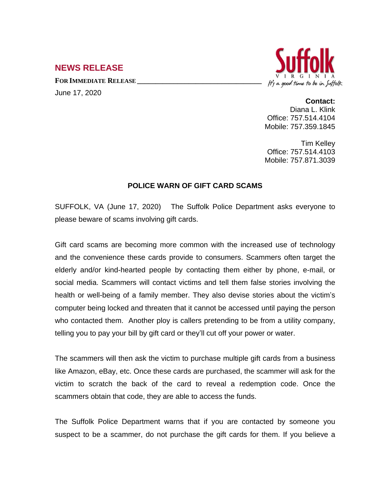## **NEWS RELEASE**

**FOR IMMEDIATE RELEASE \_\_\_\_\_\_\_\_\_\_\_\_\_\_\_\_\_\_\_\_\_\_\_\_\_\_\_\_\_\_\_\_\_\_**

June 17, 2020



## **Contact:**

Diana L. Klink Office: 757.514.4104 Mobile: 757.359.1845

Tim Kelley Office: 757.514.4103 Mobile: 757.871.3039

## **POLICE WARN OF GIFT CARD SCAMS**

SUFFOLK, VA (June 17, 2020) The Suffolk Police Department asks everyone to please beware of scams involving gift cards.

Gift card scams are becoming more common with the increased use of technology and the convenience these cards provide to consumers. Scammers often target the elderly and/or kind-hearted people by contacting them either by phone, e-mail, or social media. Scammers will contact victims and tell them false stories involving the health or well-being of a family member. They also devise stories about the victim's computer being locked and threaten that it cannot be accessed until paying the person who contacted them. Another ploy is callers pretending to be from a utility company, telling you to pay your bill by gift card or they'll cut off your power or water.

The scammers will then ask the victim to purchase multiple gift cards from a business like Amazon, eBay, etc. Once these cards are purchased, the scammer will ask for the victim to scratch the back of the card to reveal a redemption code. Once the scammers obtain that code, they are able to access the funds.

The Suffolk Police Department warns that if you are contacted by someone you suspect to be a scammer, do not purchase the gift cards for them. If you believe a